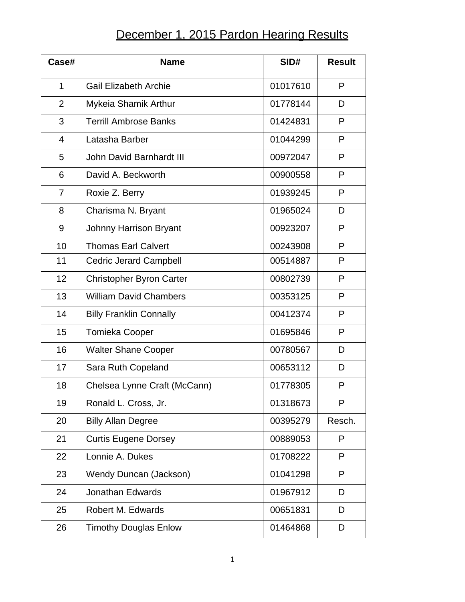## December 1, 2015 Pardon Hearing Results

| Case#          | <b>Name</b>                     | SID#     | <b>Result</b> |
|----------------|---------------------------------|----------|---------------|
| 1              | <b>Gail Elizabeth Archie</b>    | 01017610 | P             |
| $\overline{2}$ | Mykeia Shamik Arthur            | 01778144 | D             |
| 3              | <b>Terrill Ambrose Banks</b>    | 01424831 | P             |
| 4              | Latasha Barber                  | 01044299 | P             |
| 5              | John David Barnhardt III        | 00972047 | P             |
| 6              | David A. Beckworth              | 00900558 | P             |
| 7              | Roxie Z. Berry                  | 01939245 | P             |
| 8              | Charisma N. Bryant              | 01965024 | D             |
| 9              | <b>Johnny Harrison Bryant</b>   | 00923207 | P             |
| 10             | <b>Thomas Earl Calvert</b>      | 00243908 | P             |
| 11             | <b>Cedric Jerard Campbell</b>   | 00514887 | P             |
| 12             | <b>Christopher Byron Carter</b> | 00802739 | P             |
| 13             | <b>William David Chambers</b>   | 00353125 | P             |
| 14             | <b>Billy Franklin Connally</b>  | 00412374 | P             |
| 15             | <b>Tomieka Cooper</b>           | 01695846 | P             |
| 16             | <b>Walter Shane Cooper</b>      | 00780567 | D             |
| 17             | Sara Ruth Copeland              | 00653112 | D             |
| 18             | Chelsea Lynne Craft (McCann)    | 01778305 | P             |
| 19             | Ronald L. Cross, Jr.            | 01318673 | P             |
| 20             | <b>Billy Allan Degree</b>       | 00395279 | Resch.        |
| 21             | <b>Curtis Eugene Dorsey</b>     | 00889053 | P             |
| 22             | Lonnie A. Dukes                 | 01708222 | P             |
| 23             | Wendy Duncan (Jackson)          | 01041298 | P             |
| 24             | <b>Jonathan Edwards</b>         | 01967912 | D             |
| 25             | Robert M. Edwards               | 00651831 | D             |
| 26             | <b>Timothy Douglas Enlow</b>    | 01464868 | D             |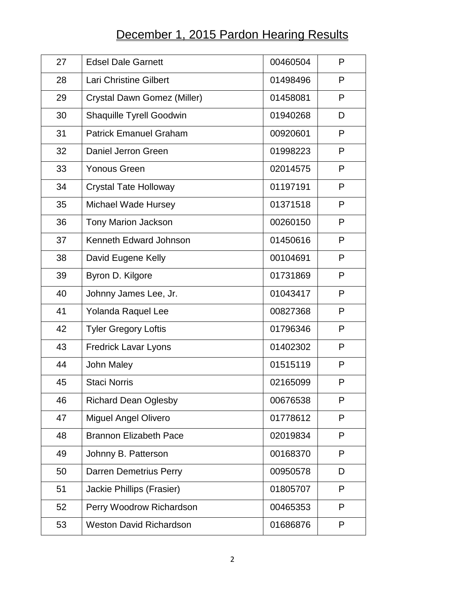## December 1, 2015 Pardon Hearing Results

| 27 | <b>Edsel Dale Garnett</b>      | 00460504 | P |
|----|--------------------------------|----------|---|
| 28 | Lari Christine Gilbert         | 01498496 | P |
| 29 | Crystal Dawn Gomez (Miller)    | 01458081 | P |
| 30 | Shaquille Tyrell Goodwin       | 01940268 | D |
| 31 | <b>Patrick Emanuel Graham</b>  | 00920601 | P |
| 32 | Daniel Jerron Green            | 01998223 | P |
| 33 | <b>Yonous Green</b>            | 02014575 | P |
| 34 | <b>Crystal Tate Holloway</b>   | 01197191 | P |
| 35 | <b>Michael Wade Hursey</b>     | 01371518 | P |
| 36 | <b>Tony Marion Jackson</b>     | 00260150 | P |
| 37 | Kenneth Edward Johnson         | 01450616 | P |
| 38 | David Eugene Kelly             | 00104691 | P |
| 39 | Byron D. Kilgore               | 01731869 | P |
| 40 | Johnny James Lee, Jr.          | 01043417 | P |
| 41 | Yolanda Raquel Lee             | 00827368 | P |
| 42 | <b>Tyler Gregory Loftis</b>    | 01796346 | P |
| 43 | <b>Fredrick Lavar Lyons</b>    | 01402302 | P |
| 44 | John Maley                     | 01515119 | P |
| 45 | <b>Staci Norris</b>            | 02165099 | P |
| 46 | <b>Richard Dean Oglesby</b>    | 00676538 | P |
| 47 | <b>Miguel Angel Olivero</b>    | 01778612 | P |
| 48 | <b>Brannon Elizabeth Pace</b>  | 02019834 | P |
| 49 | Johnny B. Patterson            | 00168370 | P |
| 50 | <b>Darren Demetrius Perry</b>  | 00950578 | D |
| 51 | Jackie Phillips (Frasier)      | 01805707 | P |
| 52 | Perry Woodrow Richardson       | 00465353 | P |
| 53 | <b>Weston David Richardson</b> | 01686876 | P |